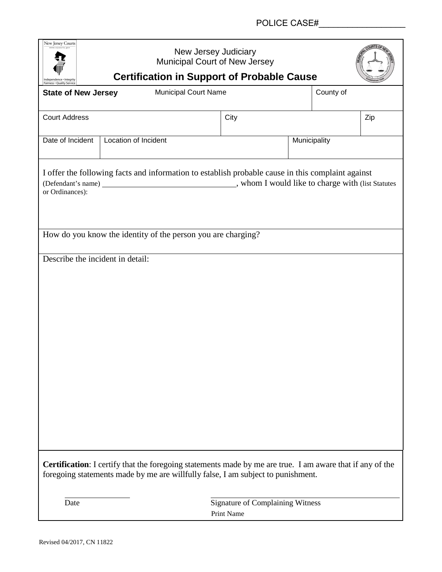| New Jersey Courts                                                                                                                                                                                    | Municipal Court of New Jersey<br><b>Certification in Support of Probable Cause</b> |  |                                                       |              |           |  |  |  |  |  |  |
|------------------------------------------------------------------------------------------------------------------------------------------------------------------------------------------------------|------------------------------------------------------------------------------------|--|-------------------------------------------------------|--------------|-----------|--|--|--|--|--|--|
| Fairness . Quality Servic<br><b>Municipal Court Name</b><br><b>State of New Jersey</b>                                                                                                               |                                                                                    |  |                                                       |              | County of |  |  |  |  |  |  |
| <b>Court Address</b>                                                                                                                                                                                 |                                                                                    |  | City                                                  |              | Zip       |  |  |  |  |  |  |
| Date of Incident                                                                                                                                                                                     | Location of Incident                                                               |  |                                                       | Municipality |           |  |  |  |  |  |  |
| I offer the following facts and information to establish probable cause in this complaint against<br>or Ordinances):                                                                                 |                                                                                    |  |                                                       |              |           |  |  |  |  |  |  |
| How do you know the identity of the person you are charging?                                                                                                                                         |                                                                                    |  |                                                       |              |           |  |  |  |  |  |  |
| Describe the incident in detail:                                                                                                                                                                     |                                                                                    |  |                                                       |              |           |  |  |  |  |  |  |
| <b>Certification:</b> I certify that the foregoing statements made by me are true. I am aware that if any of the<br>foregoing statements made by me are willfully false, I am subject to punishment. |                                                                                    |  |                                                       |              |           |  |  |  |  |  |  |
| Date                                                                                                                                                                                                 |                                                                                    |  | <b>Signature of Complaining Witness</b><br>Print Name |              |           |  |  |  |  |  |  |